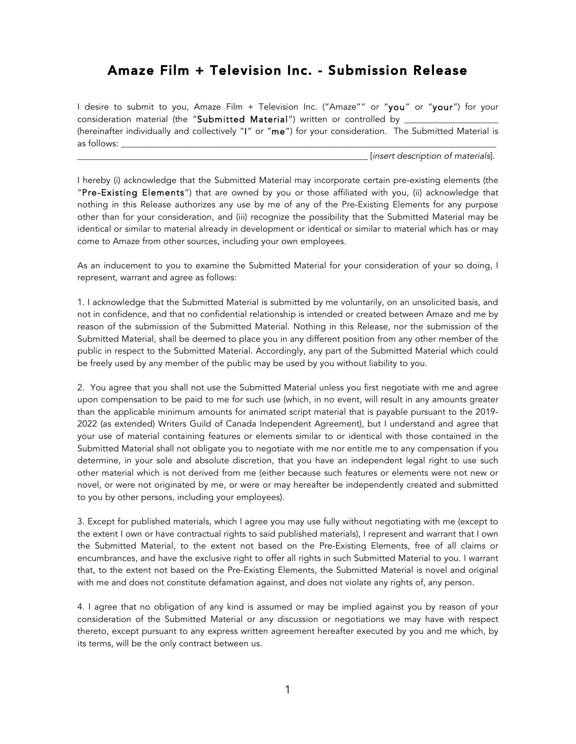## Amaze Film + Television Inc. - Submission Release

I desire to submit to you, Amaze Film + Television Inc. ("Amaze"" or "you" or "your") for your consideration material (the "Submitted Material") written or controlled by (hereinafter individually and collectively "I" or "me") for your consideration. The Submitted Material is as follows: \_\_\_\_\_\_\_\_\_\_\_\_\_\_\_\_\_\_\_\_\_\_\_\_\_\_\_\_\_\_\_\_\_\_\_\_\_\_\_\_\_\_\_\_\_\_\_\_\_\_\_\_\_\_\_\_\_\_\_\_\_\_\_\_\_\_\_\_\_\_\_\_\_\_\_\_\_\_\_\_\_\_\_\_

\_\_\_\_\_\_\_\_\_\_\_\_\_\_\_\_\_\_\_\_\_\_\_\_\_\_\_\_\_\_\_\_\_\_\_\_\_\_\_\_\_\_\_\_\_\_\_\_\_\_\_\_\_\_\_\_\_\_\_\_\_\_\_\_\_ [*insert description of materials*].

I hereby (i) acknowledge that the Submitted Material may incorporate certain pre-existing elements (the "Pre-Existing Elements") that are owned by you or those affiliated with you, (ii) acknowledge that nothing in this Release authorizes any use by me of any of the Pre-Existing Elements for any purpose other than for your consideration, and (iii) recognize the possibility that the Submitted Material may be identical or similar to material already in development or identical or similar to material which has or may come to Amaze from other sources, including your own employees.

As an inducement to you to examine the Submitted Material for your consideration of your so doing, I represent, warrant and agree as follows:

1. I acknowledge that the Submitted Material is submitted by me voluntarily, on an unsolicited basis, and not in confidence, and that no confidential relationship is intended or created between Amaze and me by reason of the submission of the Submitted Material. Nothing in this Release, nor the submission of the Submitted Material, shall be deemed to place you in any different position from any other member of the public in respect to the Submitted Material. Accordingly, any part of the Submitted Material which could be freely used by any member of the public may be used by you without liability to you.

2. You agree that you shall not use the Submitted Material unless you first negotiate with me and agree upon compensation to be paid to me for such use (which, in no event, will result in any amounts greater than the applicable minimum amounts for animated script material that is payable pursuant to the 2019- 2022 (as extended) Writers Guild of Canada Independent Agreement), but I understand and agree that your use of material containing features or elements similar to or identical with those contained in the Submitted Material shall not obligate you to negotiate with me nor entitle me to any compensation if you determine, in your sole and absolute discretion, that you have an independent legal right to use such other material which is not derived from me (either because such features or elements were not new or novel, or were not originated by me, or were or may hereafter be independently created and submitted to you by other persons, including your employees).

3. Except for published materials, which I agree you may use fully without negotiating with me (except to the extent I own or have contractual rights to said published materials), I represent and warrant that I own the Submitted Material, to the extent not based on the Pre-Existing Elements, free of all claims or encumbrances, and have the exclusive right to offer all rights in such Submitted Material to you. I warrant that, to the extent not based on the Pre-Existing Elements, the Submitted Material is novel and original with me and does not constitute defamation against, and does not violate any rights of, any person.

4. I agree that no obligation of any kind is assumed or may be implied against you by reason of your consideration of the Submitted Material or any discussion or negotiations we may have with respect thereto, except pursuant to any express written agreement hereafter executed by you and me which, by its terms, will be the only contract between us.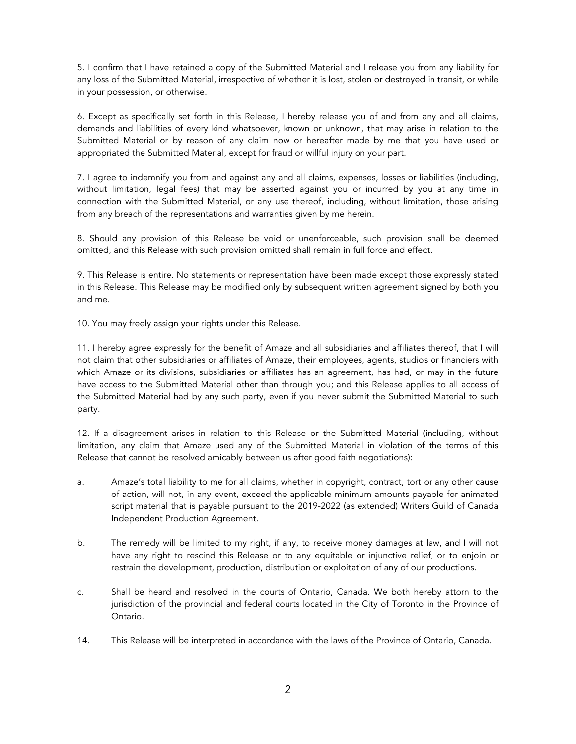5. I confirm that I have retained a copy of the Submitted Material and I release you from any liability for any loss of the Submitted Material, irrespective of whether it is lost, stolen or destroyed in transit, or while in your possession, or otherwise.

6. Except as specifically set forth in this Release, I hereby release you of and from any and all claims, demands and liabilities of every kind whatsoever, known or unknown, that may arise in relation to the Submitted Material or by reason of any claim now or hereafter made by me that you have used or appropriated the Submitted Material, except for fraud or willful injury on your part.

7. I agree to indemnify you from and against any and all claims, expenses, losses or liabilities (including, without limitation, legal fees) that may be asserted against you or incurred by you at any time in connection with the Submitted Material, or any use thereof, including, without limitation, those arising from any breach of the representations and warranties given by me herein.

8. Should any provision of this Release be void or unenforceable, such provision shall be deemed omitted, and this Release with such provision omitted shall remain in full force and effect.

9. This Release is entire. No statements or representation have been made except those expressly stated in this Release. This Release may be modified only by subsequent written agreement signed by both you and me.

10. You may freely assign your rights under this Release.

11. I hereby agree expressly for the benefit of Amaze and all subsidiaries and affiliates thereof, that I will not claim that other subsidiaries or affiliates of Amaze, their employees, agents, studios or financiers with which Amaze or its divisions, subsidiaries or affiliates has an agreement, has had, or may in the future have access to the Submitted Material other than through you; and this Release applies to all access of the Submitted Material had by any such party, even if you never submit the Submitted Material to such party.

12. If a disagreement arises in relation to this Release or the Submitted Material (including, without limitation, any claim that Amaze used any of the Submitted Material in violation of the terms of this Release that cannot be resolved amicably between us after good faith negotiations):

- a. Amaze's total liability to me for all claims, whether in copyright, contract, tort or any other cause of action, will not, in any event, exceed the applicable minimum amounts payable for animated script material that is payable pursuant to the 2019-2022 (as extended) Writers Guild of Canada Independent Production Agreement.
- b. The remedy will be limited to my right, if any, to receive money damages at law, and I will not have any right to rescind this Release or to any equitable or injunctive relief, or to enjoin or restrain the development, production, distribution or exploitation of any of our productions.
- c. Shall be heard and resolved in the courts of Ontario, Canada. We both hereby attorn to the jurisdiction of the provincial and federal courts located in the City of Toronto in the Province of Ontario.
- 14. This Release will be interpreted in accordance with the laws of the Province of Ontario, Canada.